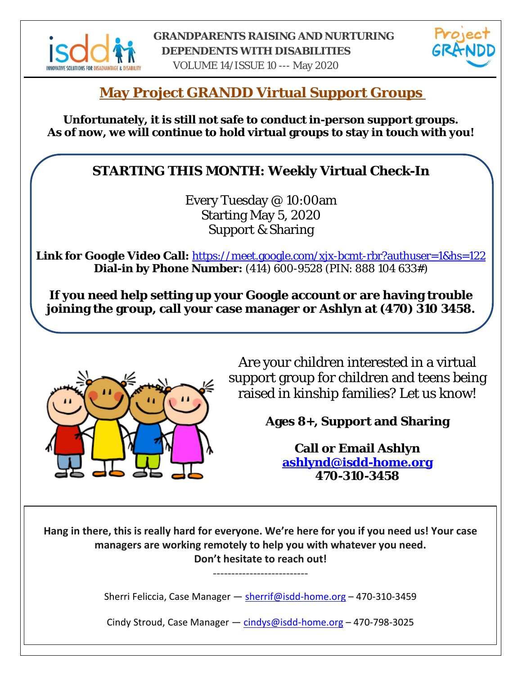



VOLUME 14/ISSUE 10 --- May 2020

## **May Project GRANDD Virtual Support Groups**

**Unfortunately, it is still not safe to conduct in-person support groups. As of now, we will continue to hold virtual groups to stay in touch with you!**

## **STARTING THIS MONTH: Weekly Virtual Check-In**

Every Tuesday @ 10:00am Starting May 5, 2020 Support & Sharing

**Link for Google Video Call:** <https://meet.google.com/xjx-bcmt-rbr?authuser=1&hs=122> **Dial-in by Phone Number:** (414) 600-9528 (PIN: 888 104 633#)

**If you need help setting up your Google account or are having trouble joining the group, call your case manager or Ashlyn at (470) 310 3458.**



Are your children interested in a virtual support group for children and teens being raised in kinship families? Let us know!

**Ages 8+, Support and Sharing**

**Call or Email Ashlyn [ashlynd@isdd-home.org](mailto:ashlynd@isdd-home.org) 470-310-3458**

**Hang in there, this is really hard for everyone. We're here for you if you need us! Your case managers are working remotely to help you with whatever you need. Don't hesitate to reach out!**

Sherri Feliccia, Case Manager — [sherrif@isdd-home.org](mailto:sherrif@isdd-home.org) – 470-310-3459

--------------------------

Cindy Stroud, Case Manager - [cindys@isdd-home.org](mailto:cindys@isdd-home.org) - 470-798-3025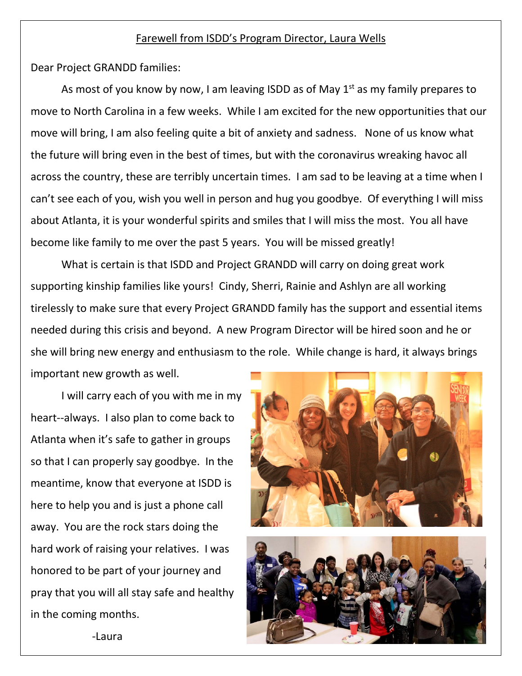#### Farewell from ISDD's Program Director, Laura Wells

Dear Project GRANDD families:

As most of you know by now, I am leaving ISDD as of May  $1<sup>st</sup>$  as my family prepares to move to North Carolina in a few weeks. While I am excited for the new opportunities that our move will bring, I am also feeling quite a bit of anxiety and sadness. None of us know what the future will bring even in the best of times, but with the coronavirus wreaking havoc all across the country, these are terribly uncertain times. I am sad to be leaving at a time when I can't see each of you, wish you well in person and hug you goodbye. Of everything I will miss about Atlanta, it is your wonderful spirits and smiles that I will miss the most. You all have become like family to me over the past 5 years. You will be missed greatly!

What is certain is that ISDD and Project GRANDD will carry on doing great work supporting kinship families like yours! Cindy, Sherri, Rainie and Ashlyn are all working tirelessly to make sure that every Project GRANDD family has the support and essential items needed during this crisis and beyond. A new Program Director will be hired soon and he or she will bring new energy and enthusiasm to the role. While change is hard, it always brings important new growth as well.

I will carry each of you with me in my heart--always. I also plan to come back to Atlanta when it's safe to gather in groups so that I can properly say goodbye. In the meantime, know that everyone at ISDD is here to help you and is just a phone call away. You are the rock stars doing the hard work of raising your relatives. I was honored to be part of your journey and pray that you will all stay safe and healthy in the coming months.



-Laura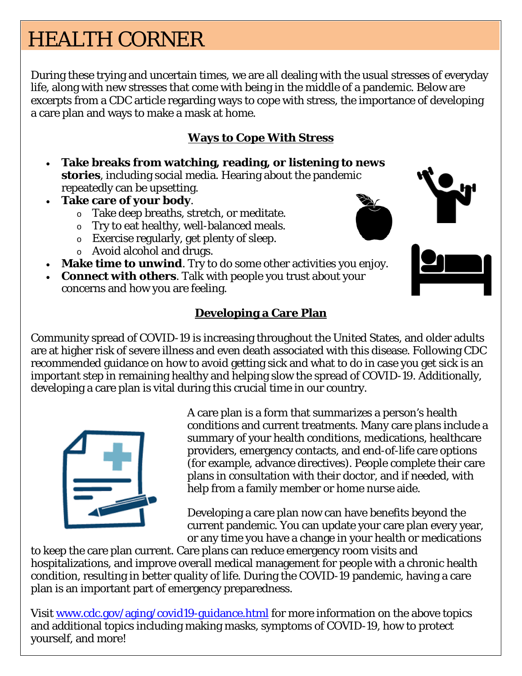# HEALTH CORNER

During these trying and uncertain times, we are all dealing with the usual stresses of everyday life, along with new stresses that come with being in the middle of a pandemic. Below are excerpts from a CDC article regarding ways to cope with stress, the importance of developing a care plan and ways to make a mask at home.

### **Ways to Cope With Stress**

- **Take breaks from watching, reading, or listening to news stories**, including social media. Hearing about the pandemic repeatedly can be upsetting.
- **Take care of your body**.
	- o Take deep breaths, stretch, or meditate.
	- o Try to eat healthy, well-balanced meals.
	- o Exercise regularly, get plenty of sleep.
	- o Avoid alcohol and drugs.
- **Make time to unwind**. Try to do some other activities you enjoy.
- **Connect with others**. Talk with people you trust about your concerns and how you are feeling.

### **Developing a Care Plan**

Community spread of COVID-19 is increasing throughout the United States, and older adults are at higher risk of severe illness and even death associated with this disease. Following CDC recommended guidance on how to avoid getting sick and what to do in case you get sick is an important step in remaining healthy and helping slow the spread of COVID-19. Additionally, developing a care plan is vital during this crucial time in our country.



A care plan is a form that summarizes a person's health conditions and current treatments. Many care plans include a summary of your health conditions, medications, healthcare providers, emergency contacts, and end-of-life care options (for example, advance directives). People complete their care plans in consultation with their doctor, and if needed, with help from a family member or home nurse aide.

Developing a care plan now can have benefits beyond the current pandemic. You can update your care plan every year, or any time you have a change in your health or medications

to keep the care plan current. Care plans can reduce emergency room visits and hospitalizations, and improve overall medical management for people with a chronic health condition, resulting in better quality of life. During the COVID-19 pandemic, having a care plan is an important part of emergency preparedness.

Visit [www.cdc.gov/aging/covid19-guidance.html](http://www.cdc.gov/aging/covid19-guidance.html) for more information on the above topics and additional topics including making masks, symptoms of COVID-19, how to protect yourself, and more!